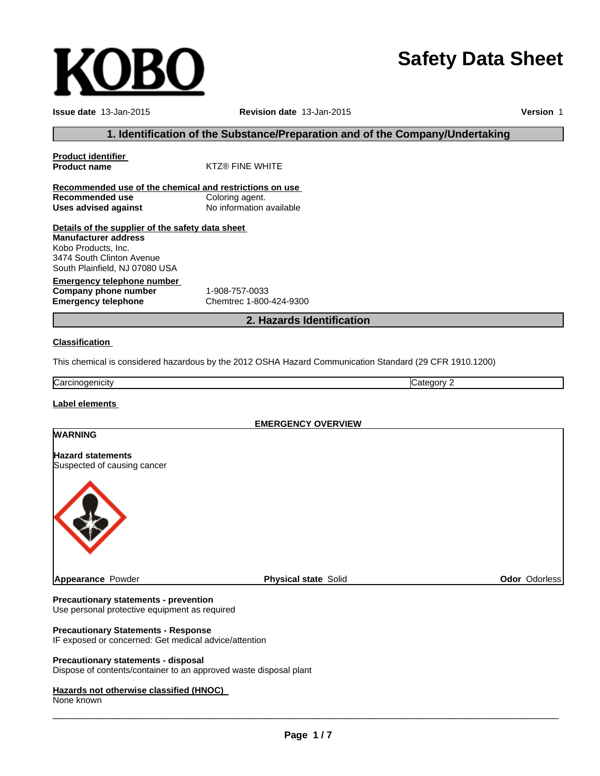# **Safety Data Sheet**

**Issue date** 13-Jan-2015 **Revision date** 13-Jan-2015 **Version** 1

# **1. Identification of the Substance/Preparation and of the Company/Undertaking**

| <b>Product identifier</b>                               |                                                                                                         |  |  |  |
|---------------------------------------------------------|---------------------------------------------------------------------------------------------------------|--|--|--|
| <b>Product name</b>                                     | <b>KTZ® FINE WHITE</b>                                                                                  |  |  |  |
| Recommended use of the chemical and restrictions on use |                                                                                                         |  |  |  |
| <b>Recommended use</b>                                  | Coloring agent.                                                                                         |  |  |  |
| <b>Uses advised against</b>                             | No information available                                                                                |  |  |  |
| Details of the supplier of the safety data sheet        |                                                                                                         |  |  |  |
| <b>Manufacturer address</b>                             |                                                                                                         |  |  |  |
| Kobo Products, Inc.                                     |                                                                                                         |  |  |  |
| 3474 South Clinton Avenue                               |                                                                                                         |  |  |  |
| South Plainfield, NJ 07080 USA                          |                                                                                                         |  |  |  |
| <b>Emergency telephone number</b>                       |                                                                                                         |  |  |  |
| Company phone number                                    | 1-908-757-0033                                                                                          |  |  |  |
| <b>Emergency telephone</b>                              | Chemtrec 1-800-424-9300                                                                                 |  |  |  |
|                                                         | 2. Hazards Identification                                                                               |  |  |  |
| <b>Classification</b>                                   |                                                                                                         |  |  |  |
|                                                         | This chemical is considered hazardous by the 2012 OSHA Hazard Communication Standard (29 CFR 1910.1200) |  |  |  |
| Carcinogenicity                                         | Category 2                                                                                              |  |  |  |
| <b>Label elements</b>                                   |                                                                                                         |  |  |  |
|                                                         | <b>EMERGENCY OVERVIEW</b>                                                                               |  |  |  |
| <b>WARNING</b>                                          |                                                                                                         |  |  |  |
|                                                         |                                                                                                         |  |  |  |
| <b>Hazard statements</b>                                |                                                                                                         |  |  |  |
| Suspected of causing cancer                             |                                                                                                         |  |  |  |
|                                                         |                                                                                                         |  |  |  |

**Appearance** Powder

**Physical state** Solid **Odor** Odorless

#### **Precautionary statements - prevention**

Use personal protective equipment as required

# **Precautionary Statements - Response**

IF exposed or concerned: Get medical advice/attention

## **Precautionary statements - disposal**

Dispose of contents/container to an approved waste disposal plant

#### **Hazards not otherwise classified (HNOC)**

None known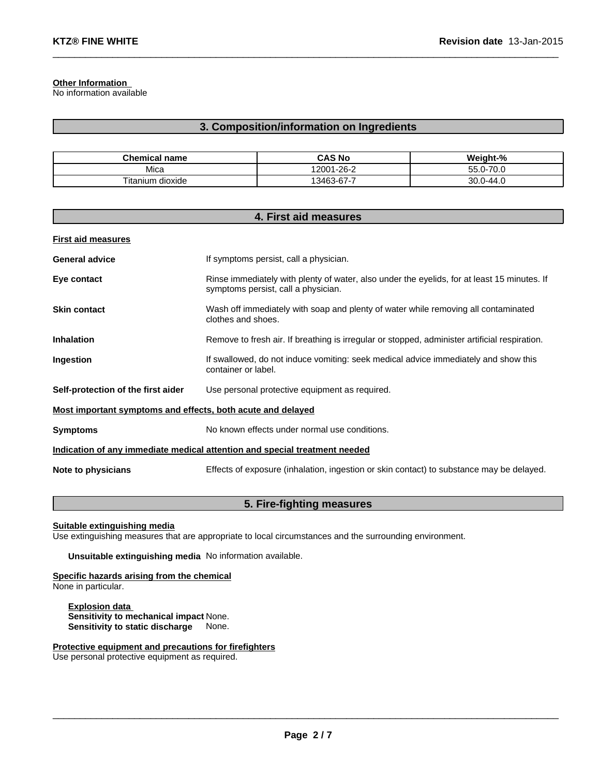## **Other Information**

No information available

# **3. Composition/information on Ingredients**

 $\_$  , and the set of the set of the set of the set of the set of the set of the set of the set of the set of the set of the set of the set of the set of the set of the set of the set of the set of the set of the set of th

| <b>Chemical name</b> | <b>CAS No</b> | Weight-%                  |
|----------------------|---------------|---------------------------|
| Mica                 | 12001-26-2    | ∩ רז<br>$55.0 -$<br>. U.U |
| Titanium<br>dioxide  | 13463-67-7    | $30.0 - 44.0$             |

| 4. First aid measures                                                      |                                                                                                                                    |  |
|----------------------------------------------------------------------------|------------------------------------------------------------------------------------------------------------------------------------|--|
| <b>First aid measures</b>                                                  |                                                                                                                                    |  |
| <b>General advice</b>                                                      | If symptoms persist, call a physician.                                                                                             |  |
| Eye contact                                                                | Rinse immediately with plenty of water, also under the eyelids, for at least 15 minutes. If<br>symptoms persist, call a physician. |  |
| <b>Skin contact</b>                                                        | Wash off immediately with soap and plenty of water while removing all contaminated<br>clothes and shoes.                           |  |
| <b>Inhalation</b>                                                          | Remove to fresh air. If breathing is irregular or stopped, administer artificial respiration.                                      |  |
| Ingestion                                                                  | If swallowed, do not induce vomiting: seek medical advice immediately and show this<br>container or label.                         |  |
| Self-protection of the first aider                                         | Use personal protective equipment as required.                                                                                     |  |
| Most important symptoms and effects, both acute and delayed                |                                                                                                                                    |  |
| <b>Symptoms</b>                                                            | No known effects under normal use conditions.                                                                                      |  |
| Indication of any immediate medical attention and special treatment needed |                                                                                                                                    |  |
| Note to physicians                                                         | Effects of exposure (inhalation, ingestion or skin contact) to substance may be delayed.                                           |  |

# **5. Fire-fighting measures**

**Suitable extinguishing media**

Use extinguishing measures that are appropriate to local circumstances and the surrounding environment.

**Unsuitable extinguishing media** No information available.

**Specific hazards arising from the chemical** None in particular.

**Explosion data Sensitivity to mechanical impact** None. **Sensitivity to static discharge** None.

**Protective equipment and precautions for firefighters** Use personal protective equipment as required.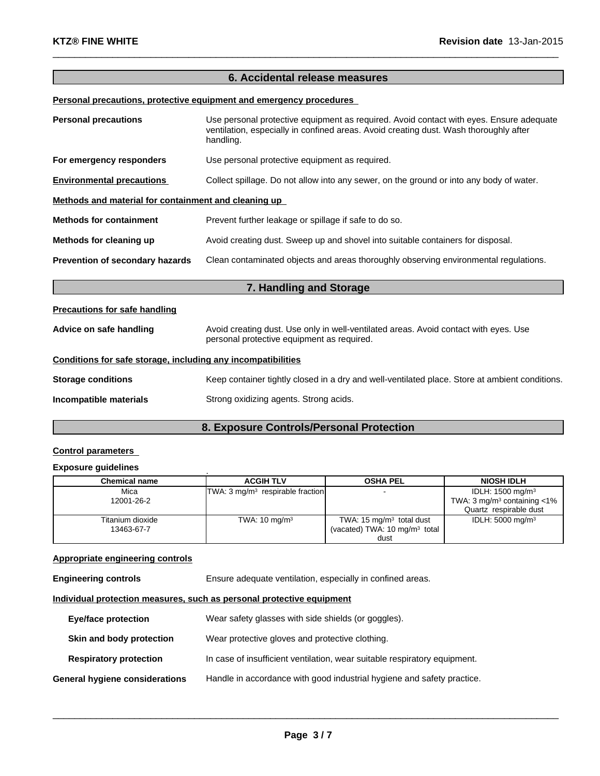# **6. Accidental release measures**

 $\_$  , and the set of the set of the set of the set of the set of the set of the set of the set of the set of the set of the set of the set of the set of the set of the set of the set of the set of the set of the set of th

# **Personal precautions, protective equipment and emergency procedures**

| <b>Personal precautions</b>                                  | Use personal protective equipment as required. Avoid contact with eyes. Ensure adequate<br>ventilation, especially in confined areas. Avoid creating dust. Wash thoroughly after<br>handling. |  |  |
|--------------------------------------------------------------|-----------------------------------------------------------------------------------------------------------------------------------------------------------------------------------------------|--|--|
| For emergency responders                                     | Use personal protective equipment as required.                                                                                                                                                |  |  |
| <b>Environmental precautions</b>                             | Collect spillage. Do not allow into any sewer, on the ground or into any body of water.                                                                                                       |  |  |
| Methods and material for containment and cleaning up         |                                                                                                                                                                                               |  |  |
| <b>Methods for containment</b>                               | Prevent further leakage or spillage if safe to do so.                                                                                                                                         |  |  |
| Methods for cleaning up                                      | Avoid creating dust. Sweep up and shovel into suitable containers for disposal.                                                                                                               |  |  |
| Prevention of secondary hazards                              | Clean contaminated objects and areas thoroughly observing environmental regulations.                                                                                                          |  |  |
|                                                              | 7. Handling and Storage                                                                                                                                                                       |  |  |
| <b>Precautions for safe handling</b>                         |                                                                                                                                                                                               |  |  |
| Advice on safe handling                                      | Avoid creating dust. Use only in well-ventilated areas. Avoid contact with eyes. Use<br>personal protective equipment as required.                                                            |  |  |
| Conditions for safe storage, including any incompatibilities |                                                                                                                                                                                               |  |  |
| <b>Storage conditions</b>                                    | Keep container tightly closed in a dry and well-ventilated place. Store at ambient conditions.                                                                                                |  |  |
| Incompatible materials                                       | Strong oxidizing agents. Strong acids.                                                                                                                                                        |  |  |

# **8. Exposure Controls/Personal Protection**

# **Control parameters**

# **Exposure guidelines** .

| <b>Chemical name</b> | <b>ACGIH TLV</b>                            | <b>OSHA PEL</b>                          | <b>NIOSH IDLH</b>                          |
|----------------------|---------------------------------------------|------------------------------------------|--------------------------------------------|
| Mica                 | TWA: $3 \text{ mq/m}^3$ respirable fraction | $\overline{\phantom{a}}$                 | IDLH: $1500 \text{ mg/m}^3$                |
| 12001-26-2           |                                             |                                          | TWA: $3 \text{ mg/m}^3$ containing $< 1\%$ |
|                      |                                             |                                          | Quartz respirable dust                     |
| Titanium dioxide     | TWA: $10 \text{ mg/m}^3$                    | TWA: $15 \text{ mg/m}^3$ total dust      | IDLH: $5000 \text{ mg/m}^3$                |
| 13463-67-7           |                                             | (vacated) TWA: $10 \text{ mg/m}^3$ total |                                            |
|                      |                                             | dust                                     |                                            |

## **Appropriate engineering controls**

**Engineering controls** Ensure adequate ventilation, especially in confined areas.

## **Individual protection measures, such as personal protective equipment**

| <b>Eye/face protection</b>     | Wear safety glasses with side shields (or goggles).                       |
|--------------------------------|---------------------------------------------------------------------------|
| Skin and body protection       | Wear protective gloves and protective clothing.                           |
| <b>Respiratory protection</b>  | In case of insufficient ventilation, wear suitable respiratory equipment. |
| General hygiene considerations | Handle in accordance with good industrial hygiene and safety practice.    |

 $\_$  ,  $\_$  ,  $\_$  ,  $\_$  ,  $\_$  ,  $\_$  ,  $\_$  ,  $\_$  ,  $\_$  ,  $\_$  ,  $\_$  ,  $\_$  ,  $\_$  ,  $\_$  ,  $\_$  ,  $\_$  ,  $\_$  ,  $\_$  ,  $\_$  ,  $\_$  ,  $\_$  ,  $\_$  ,  $\_$  ,  $\_$  ,  $\_$  ,  $\_$  ,  $\_$  ,  $\_$  ,  $\_$  ,  $\_$  ,  $\_$  ,  $\_$  ,  $\_$  ,  $\_$  ,  $\_$  ,  $\_$  ,  $\_$  ,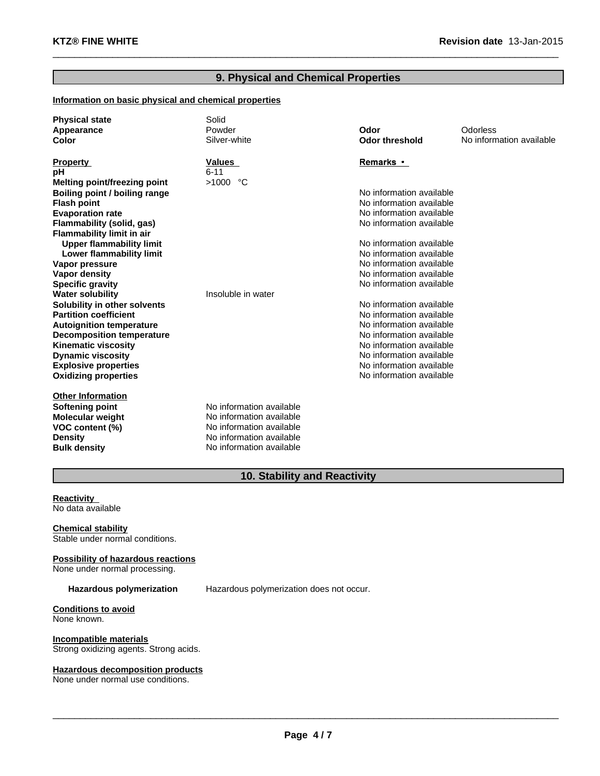# **9. Physical and Chemical Properties**

 $\_$  , and the set of the set of the set of the set of the set of the set of the set of the set of the set of the set of the set of the set of the set of the set of the set of the set of the set of the set of the set of th

## **Information on basic physical and chemical properties**

| <b>Physical state</b><br>Appearance<br>Color           | Solid<br>Powder<br>Silver-white | Odor<br><b>Odor threshold</b>                        | Odorless<br>No information available |
|--------------------------------------------------------|---------------------------------|------------------------------------------------------|--------------------------------------|
| <b>Property</b>                                        | <b>Values</b>                   | Remarks •                                            |                                      |
| рH                                                     | $6 - 11$                        |                                                      |                                      |
| Melting point/freezing point                           | $>1000$ °C                      |                                                      |                                      |
| Boiling point / boiling range                          |                                 | No information available                             |                                      |
| <b>Flash point</b>                                     |                                 | No information available                             |                                      |
| <b>Evaporation rate</b>                                |                                 | No information available                             |                                      |
| Flammability (solid, gas)                              |                                 | No information available                             |                                      |
| <b>Flammability limit in air</b>                       |                                 |                                                      |                                      |
| <b>Upper flammability limit</b>                        |                                 | No information available                             |                                      |
| Lower flammability limit                               |                                 | No information available                             |                                      |
| Vapor pressure                                         |                                 | No information available                             |                                      |
| <b>Vapor density</b>                                   |                                 | No information available                             |                                      |
| <b>Specific gravity</b>                                |                                 | No information available                             |                                      |
| <b>Water solubility</b>                                | Insoluble in water              |                                                      |                                      |
| Solubility in other solvents                           |                                 | No information available                             |                                      |
| <b>Partition coefficient</b>                           |                                 | No information available<br>No information available |                                      |
| <b>Autoignition temperature</b>                        |                                 | No information available                             |                                      |
| <b>Decomposition temperature</b>                       |                                 | No information available                             |                                      |
| <b>Kinematic viscosity</b><br><b>Dynamic viscosity</b> |                                 | No information available                             |                                      |
| <b>Explosive properties</b>                            |                                 | No information available                             |                                      |
| <b>Oxidizing properties</b>                            |                                 | No information available                             |                                      |
|                                                        |                                 |                                                      |                                      |
| <b>Other Information</b>                               |                                 |                                                      |                                      |
| Softening point                                        | No information available        |                                                      |                                      |
| <b>Molecular weight</b>                                | No information available        |                                                      |                                      |
| VOC content (%)                                        | No information available        |                                                      |                                      |
| <b>Density</b>                                         | No information available        |                                                      |                                      |
| <b>Bulk density</b>                                    | No information available        |                                                      |                                      |

# **10. Stability and Reactivity**

**Reactivity** No data available

**Chemical stability** Stable under normal conditions.

## **Possibility of hazardous reactions**

None under normal processing.

**Hazardous polymerization** Hazardous polymerization does not occur.

**Conditions to avoid** None known.

**Incompatible materials** Strong oxidizing agents. Strong acids.

## **Hazardous decomposition products**

None under normal use conditions.

 $\_$  ,  $\_$  ,  $\_$  ,  $\_$  ,  $\_$  ,  $\_$  ,  $\_$  ,  $\_$  ,  $\_$  ,  $\_$  ,  $\_$  ,  $\_$  ,  $\_$  ,  $\_$  ,  $\_$  ,  $\_$  ,  $\_$  ,  $\_$  ,  $\_$  ,  $\_$  ,  $\_$  ,  $\_$  ,  $\_$  ,  $\_$  ,  $\_$  ,  $\_$  ,  $\_$  ,  $\_$  ,  $\_$  ,  $\_$  ,  $\_$  ,  $\_$  ,  $\_$  ,  $\_$  ,  $\_$  ,  $\_$  ,  $\_$  ,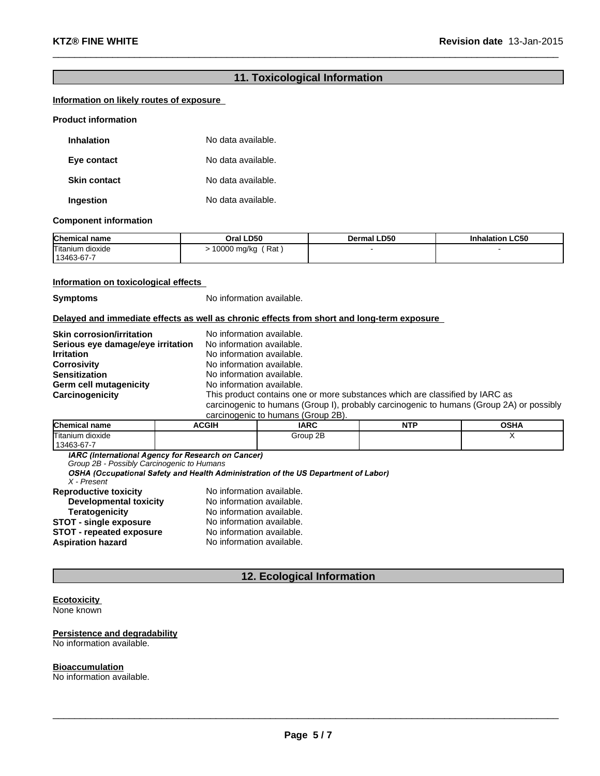# **11. Toxicological Information**

 $\_$  , and the set of the set of the set of the set of the set of the set of the set of the set of the set of the set of the set of the set of the set of the set of the set of the set of the set of the set of the set of th

# **Information on likely routes of exposure**

#### **Product information**

| <b>Inhalation</b>   | No data available. |
|---------------------|--------------------|
| Eye contact         | No data available. |
| <b>Skin contact</b> | No data available. |
| Ingestion           | No data available. |

#### **Component information**

| <b>Chemical name</b>           | Oral LD50          | Dermal LD50 | <b>Inhalation LC50</b> |
|--------------------------------|--------------------|-------------|------------------------|
| Titanium dioxide<br>13463-67-7 | Rat<br>10000 mg/kg |             |                        |

## **Information on toxicological effects**

**Symptoms** No information available.

## **Delayed and immediate effects as well as chronic effects from short and long-term exposure**

| <b>Skin corrosion/irritation</b>  | No information available.                                                                |
|-----------------------------------|------------------------------------------------------------------------------------------|
| Serious eye damage/eye irritation | No information available.                                                                |
|                                   |                                                                                          |
| <b>Irritation</b>                 | No information available.                                                                |
| <b>Corrosivity</b>                | No information available.                                                                |
| <b>Sensitization</b>              | No information available.                                                                |
| Germ cell mutagenicity            | No information available.                                                                |
| Carcinogenicity                   | This product contains one or more substances which are classified by IARC as             |
|                                   | carcinogenic to humans (Group I), probably carcinogenic to humans (Group 2A) or possibly |
|                                   | $\sim$                                                                                   |

| carcinodenic to numans (Group ZD). |              |             |     |      |
|------------------------------------|--------------|-------------|-----|------|
| <b>Chemical name</b>               | <b>ACGIH</b> | <b>IARC</b> | NTF | OSHA |
| Titanium dioxide                   |              | Group 2B    |     |      |
| 13463-67-7                         |              |             |     |      |

*Group 2B - Possibly Carcinogenic to Humans*

*X - Present*

| <b>Reproductive toxicity</b>    | No information available. |
|---------------------------------|---------------------------|
| <b>Developmental toxicity</b>   | No information available. |
| <b>Teratogenicity</b>           | No information available. |
| <b>STOT - single exposure</b>   | No information available. |
| <b>STOT - repeated exposure</b> | No information available. |
| <b>Aspiration hazard</b>        | No information available. |

# **12. Ecological Information**

## **Ecotoxicity**

None known

#### **Persistence and degradability** No information available.

#### **Bioaccumulation**

No information available.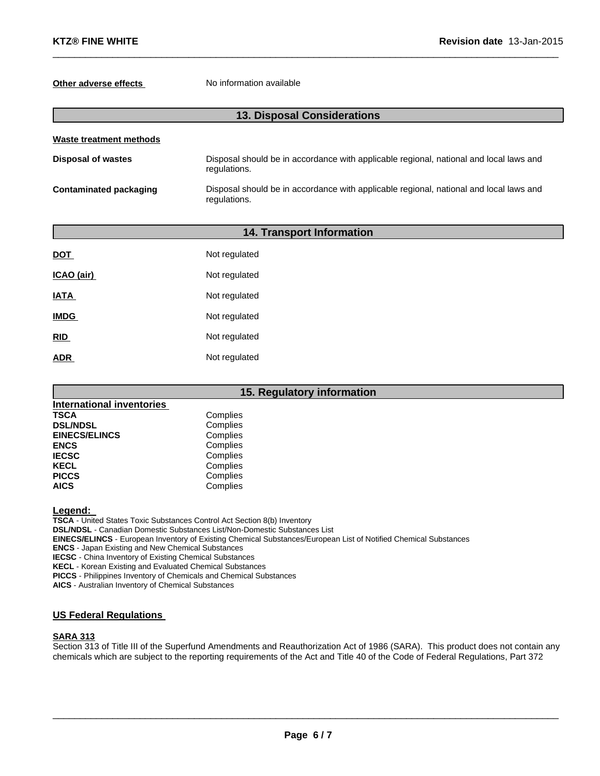## **Other adverse effects** No information available

# **13. Disposal Considerations**

 $\_$  , and the set of the set of the set of the set of the set of the set of the set of the set of the set of the set of the set of the set of the set of the set of the set of the set of the set of the set of the set of th

| Waste treatment methods   |                                                                                                        |  |  |  |
|---------------------------|--------------------------------------------------------------------------------------------------------|--|--|--|
| <b>Disposal of wastes</b> | Disposal should be in accordance with applicable regional, national and local laws and<br>regulations. |  |  |  |
| Contaminated packaging    | Disposal should be in accordance with applicable regional, national and local laws and<br>regulations. |  |  |  |

|             | <b>14. Transport Information</b> |  |  |
|-------------|----------------------------------|--|--|
| <b>DOT</b>  | Not regulated                    |  |  |
| ICAO (air)  | Not regulated                    |  |  |
| <b>IATA</b> | Not regulated                    |  |  |
| <b>IMDG</b> | Not regulated                    |  |  |
| RID         | Not regulated                    |  |  |
| <b>ADR</b>  | Not regulated                    |  |  |

## **15. Regulatory information International inventories** Complies<br>Complies **DSL/NDSL** Complies<br> **EINECS/ELINCS** Complies **EINECS/ELINCS ENCS** Complies **IECSC** Complies **KECL** Complies PICCS Complies **AICS** Complies

**Legend:**

**TSCA** - United States Toxic Substances Control Act Section 8(b) Inventory **DSL/NDSL** - Canadian Domestic Substances List/Non-Domestic Substances List **EINECS/ELINCS** - European Inventory of Existing Chemical Substances/European List of Notified Chemical Substances **ENCS** - Japan Existing and New Chemical Substances **IECSC** - China Inventory of Existing Chemical Substances **KECL** - Korean Existing and Evaluated Chemical Substances **PICCS** - Philippines Inventory of Chemicals and Chemical Substances **AICS** - Australian Inventory of Chemical Substances

# **US Federal Regulations**

## **SARA 313**

Section 313 of Title III of the Superfund Amendments and Reauthorization Act of 1986 (SARA). This product does not contain any chemicals which are subject to the reporting requirements of the Act and Title 40 of the Code of Federal Regulations, Part 372

 $\_$  ,  $\_$  ,  $\_$  ,  $\_$  ,  $\_$  ,  $\_$  ,  $\_$  ,  $\_$  ,  $\_$  ,  $\_$  ,  $\_$  ,  $\_$  ,  $\_$  ,  $\_$  ,  $\_$  ,  $\_$  ,  $\_$  ,  $\_$  ,  $\_$  ,  $\_$  ,  $\_$  ,  $\_$  ,  $\_$  ,  $\_$  ,  $\_$  ,  $\_$  ,  $\_$  ,  $\_$  ,  $\_$  ,  $\_$  ,  $\_$  ,  $\_$  ,  $\_$  ,  $\_$  ,  $\_$  ,  $\_$  ,  $\_$  ,